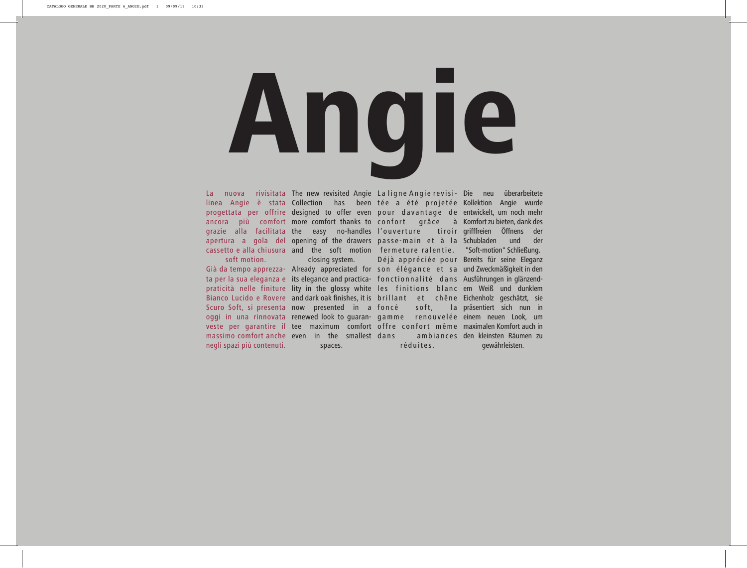## Angie

La nuova rivisitata The new revisited Angie Laligne Angie revisi- Die neu überarbeitete soft motion.

negli spazi più contenuti.

closing system.

Scuro Soft, si presenta now presented in a massimo comfort anche even in the smallest spaces.

linea Angie è stata Collection has been tée a été projetée Kollektion Angie wurde progettata per offrire designed to offer even pour davantage de entwickelt, um noch mehr ancora più comfort more comfort thanks to confort grâce à Komfortzubieten, dank des grazie alla facilitata the easy no-handles l'ouverture tiroir grifffreien Öffnens der apertura a gola del opening of the drawers passe-main et à la Schubladen und der cassetto e alla chiusura and the soft motion fermeture ralentie. "Soft-motion" Schließung. Già da tempo apprezza- Already appreciated for son élégance et sa und Zweckmäßigkeit in den ta per la sua eleganza e its elegance and practica- fonctionnalité dans Ausführungen in glänzendpraticità nelle finiture lity in the glossy white les finitions blanc em Weiß und dunklem Bianco Lucido e Rovere and dark oak finishes, it is brillant et chêne Eichenholz geschätzt, sie oggi in una rinnovata renewed look to guaran-gamme renouvelée einem neuen Look, um veste per garantire il tee maximum comfort offre confort même maximalen.Komfortauchin Déjà appréciée pour Bereits für seine Eleganz s o f t , d a n s a m b i a n c e s den kleinsten Räumen zu réduites. la präsentiert sich nun in gewährleisten.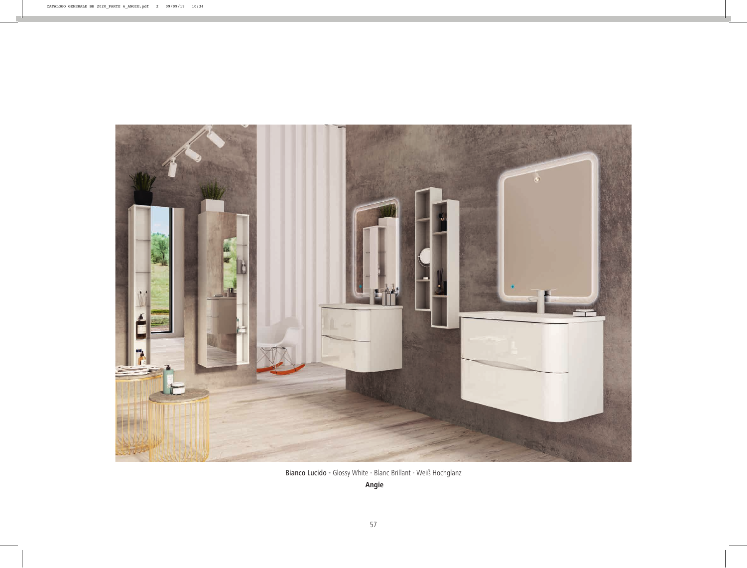

Bianco Lucido - Glossy White - Blanc Brillant - Weiß Hochglanz

 **Angie**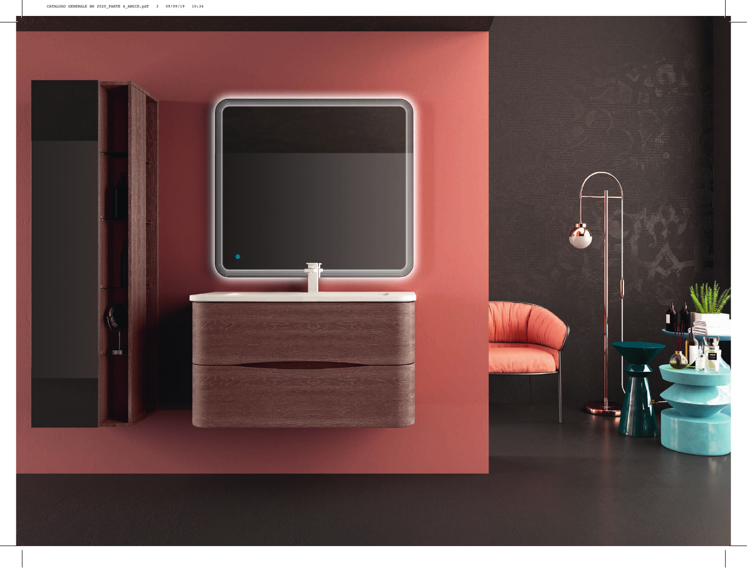